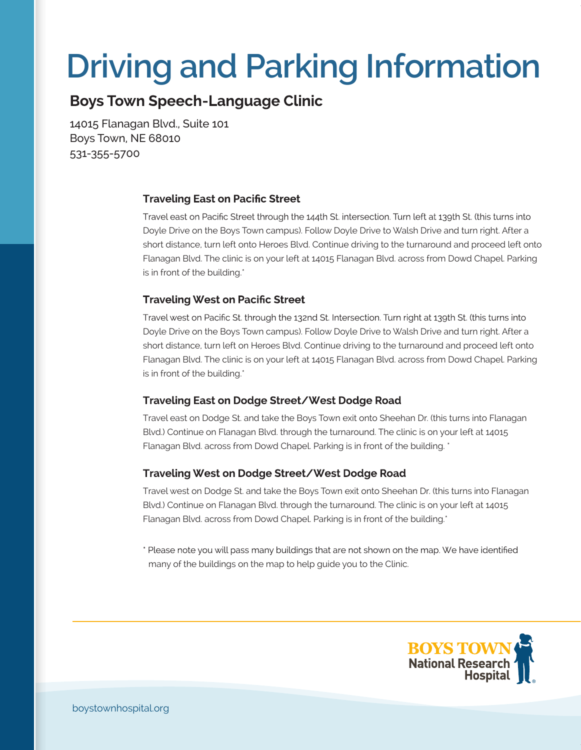# **Driving and Parking Information**

### **Boys Town Speech-Language Clinic**

14015 Flanagan Blvd., Suite 101 Boys Town, NE 68010 531-355-5700

#### **Traveling East on Pacific Street**

Travel east on Pacific Street through the 144th St. intersection. Turn left at 139th St. (this turns into Doyle Drive on the Boys Town campus). Follow Doyle Drive to Walsh Drive and turn right. After a short distance, turn left onto Heroes Blvd. Continue driving to the turnaround and proceed left onto Flanagan Blvd. The clinic is on your left at 14015 Flanagan Blvd. across from Dowd Chapel. Parking is in front of the building.\*

#### **Traveling West on Pacific Street**

Travel west on Pacific St. through the 132nd St. Intersection. Turn right at 139th St. (this turns into Doyle Drive on the Boys Town campus). Follow Doyle Drive to Walsh Drive and turn right. After a Boyle Brive of the Boys Town campus. Todow Boyle Brive to walsh Brive and tarring it. There are short distance, turn left on Heroes Blvd. Continue driving to the turnaround and proceed left onto Flanagan Blvd. The clinic is on your left at 14015 Flanagan Blvd. across from Dowd Chapel. Parking is in front of the building.\*

#### Traveling East on Dodge Street/West Dodge Road

Travel east on Dodge St. and take the Boys Town exit onto Sheehan Dr. (this turns into Flanagan Blvd.) Continue on Flanagan Blvd. through the turnaround. The clinic is on your left at 14015 Flanagan Blvd. across from Dowd Chapel. Parking is in front of the building. \*

#### Traveling West on Dodge Street/West Dodge Road

Travel west on Dodge St. and take the Boys Town exit onto Sheehan Dr. (this turns into Flanagan Blvd.) Continue on Flanagan Blvd. through the turnaround. The clinic is on your left at 14015 Flanagan Blvd. across from Dowd Chapel. Parking is in front of the building.\*

\* Please note you will pass many buildings that are not shown on the map. We have identified many of the buildings on the map to help guide you to the Clinic.